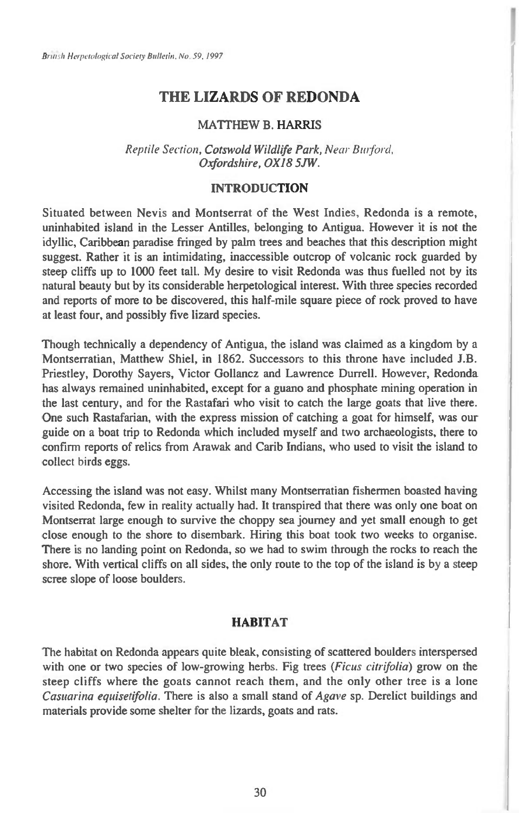# **THE LIZARDS OF REDONDA**

# MATTHEW B. HARRIS

Reptile Section, **Cotswold Wildlife Park,** Near Burford, **Oxfordshire, OX18 5JW.** 

## **INTRODUCTION**

Situated between Nevis and Montserrat of the West Indies, Redonda is a remote, uninhabited island in the Lesser Antilles, belonging to Antigua. However it is not the idyllic, Caribbean paradise fringed by palm trees and beaches that this description might suggest. Rather it is an intimidating, inaccessible outcrop of volcanic rock guarded by steep cliffs up to 1000 feet tall. My desire to visit Redonda was thus fuelled not by its natural beauty but by its considerable herpetological interest. With three species recorded and reports of more to be discovered, this half-mile square piece of rock proved to have at least four, and possibly five lizard species.

Though technically a dependency of Antigua, the island was claimed as a kingdom by a Montserratian, Matthew Shiel, in 1862. Successors to this throne have included J.B. Priestley, Dorothy Sayers, Victor Gollancz and Lawrence Durrell. However, Redonda has always remained uninhabited, except for a guano and phosphate mining operation in the last century, and for the Rastafari who visit to catch the large goats that live there. One such Rastafarian, with the express mission of catching a goat for himself, was our guide on a boat trip to Redonda which included myself and two archaeologists, there to confirm reports of relics from Arawak and Carib Indians, who used to visit the island to collect birds eggs.

Accessing the island was not easy. Whilst many Montserratian fishermen boasted having visited Redonda, few in reality actually had. It transpired that there was only one boat on Montserrat large enough to survive the choppy sea journey and yet small enough to get close enough to the shore to disembark. Hiring this boat took two weeks to organise. There is no landing point on Redonda, so we had to swim through the rocks to reach the shore. With vertical cliffs on all sides, the only route to the top of the island is by a steep scree slope of loose boulders.

# **HABITAT**

The habitat on Redonda appears quite bleak, consisting of scattered boulders interspersed with one or two species of low-growing herbs. Fig trees *(Ficus citrifolia)* grow on the steep cliffs where the goats cannot reach them, and the only other tree is a lone Casuarina equisetifolia. There is also a small stand of *Agave* sp. Derelict buildings and materials provide some shelter for the lizards, goats and rats.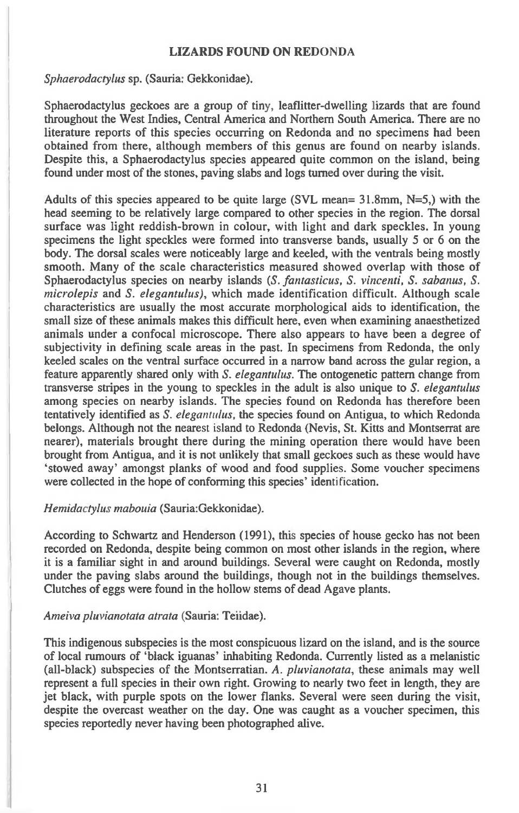## **LIZARDS FOUND ON REDONDA**

*Sphaerodactylus* sp. (Sauria: Gekkonidae).

Sphaerodactylus geckoes are a group of tiny, leaflitter-dwelling lizards that are found throughout the West Indies, Central America and Northern South America. There are no literature reports of this species occurring on Redonda and no specimens had been obtained from there, although members of this genus are found on nearby islands. Despite this, a Sphaerodactylus species appeared quite common on the island, being found under most of the stones, paving slabs and logs turned over during the visit.

Adults of this species appeared to be quite large (SVL mean= 31.8mm, N=5,) with the head seeming to be relatively large compared to other species in the region. The dorsal surface was light reddish-brown in colour, with light and dark speckles. In young specimens the light speckles were formed into transverse bands, usually 5 or 6 on the body. The dorsal scales were noticeably large and keeled, with the ventrals being mostly smooth. Many of the scale characteristics measured showed overlap with those of Sphaerodactylus species on nearby islands *(S. fantasticus, S. vincenti, S. sabanus, S. microlepis* and *S. elegantulus),* which made identification difficult. Although scale characteristics are usually the most accurate morphological aids to identification, the small size of these animals makes this difficult here, even when examining anaesthetized animals under a confocal microscope. There also appears to have been a degree of subjectivity in defining scale areas in the past. In specimens from Redonda, the only keeled scales on the ventral surface occurred in a narrow band across the gular region, a feature apparently shared only with *S. elegantulus.* The ontogenetic pattern change from transverse stripes in the young to speckles in the adult is also unique to *S. elegantulus*  among species on nearby islands. The species found on Redonda has therefore been tentatively identified as *S. elegantulus,* the species found on Antigua, to which Redonda belongs. Although not the nearest island to Redonda (Nevis, St. Kitts and Montserrat are nearer), materials brought there during the mining operation there would have been brought from Antigua, and it is not unlikely that small geckoes such as these would have `stowed away' amongst planks of wood and food supplies. Some voucher specimens were collected in the hope of conforming this species' identification.

## *Hemidactylus mabouia* (Sauria:Gekkonidae).

According to Schwartz and Henderson (1991), this species of house gecko has not been recorded on Redonda, despite being common on most other islands in the region, where it is a familiar sight in and around buildings. Several were caught on Redonda, mostly under the paving slabs around the buildings, though not in the buildings themselves. Clutches of eggs were found in the hollow stems of dead Agave plants.

#### *Ameiva pluvianotata atrata* (Sauria: Teiidae).

This indigenous subspecies is the most conspicuous lizard on the island, and is the source of local rumours of 'black iguanas' inhabiting Redonda. Currently listed as a melanistic (all-black) subspecies of the Montserratian. A. *pluvianotata,* these animals may well represent a full species in their own right. Growing to nearly two feet in length, they are jet black, with purple spots on the lower flanks. Several were seen during the visit, despite the overcast weather on the day. One was caught as a voucher specimen, this species reportedly never having been photographed alive.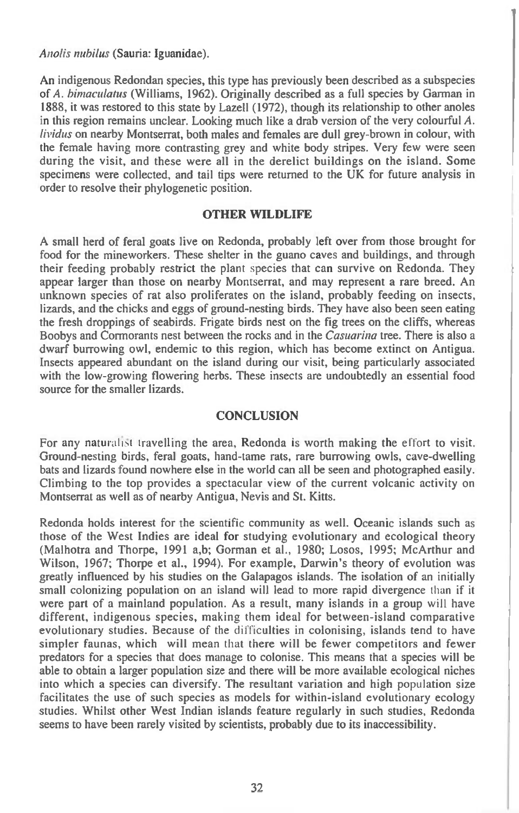*Anolis nuhilus* (Sauria: Iguanidae).

An indigenous Redondan species, this type has previously been described as a subspecies of *A. bunaculatus* (Williams, 1962). Originally described as a full species by Garman in 1888, it was restored to this state by Lazell (1972), though its relationship to other anoles in this region remains unclear. Looking much like a drab version of the very colourful A. *livichis* on nearby Montserrat, both males and females are dull grey-brown in colour, with the female having more contrasting grey and white body stripes. Very few were seen during the visit, and these were all in the derelict buildings on the island. Some specimens were collected, and tail tips were returned to the UK for future analysis in order to resolve their phylogenetic position.

## **OTHER WILDLIFE**

A small herd of feral goats live on Redonda, probably left over from those brought for food for the mineworkers. These shelter in the guano caves and buildings, and through their feeding probably restrict the plant species that can survive on Redonda. They appear larger than those on nearby Montserrat, and may represent a rare breed. An unknown species of rat also proliferates on the island, probably feeding on insects, lizards, and the chicks and eggs of ground-nesting birds. They have also been seen eating the fresh droppings of seabirds. Frigate birds nest on the fig trees on the cliffs, whereas Boobys and Cormorants nest between the rocks and in the *Casuarina* tree. There is also a dwarf burrowing owl, endemic to this region, which has become extinct on Antigua. Insects appeared abundant on the island during our visit, being particularly associated with the low-growing flowering herbs. These insects are undoubtedly an essential food source for the smaller lizards.

## **CONCLUSION**

For any naturalist travelling the area, Redonda is worth making the effort to visit. Ground-nesting birds, feral goats, hand-tame rats, rare burrowing owls, cave-dwelling bats and lizards found nowhere else in the world can all be seen and photographed easily. Climbing to the top provides a spectacular view of the current volcanic activity on Montserrat as well as of nearby Antigua, Nevis and St. Kitts.

Redonda holds interest for the scientific community as well. Oceanic islands such as those of the West Indies are ideal for studying evolutionary and ecological theory (Malhotra and Thorpe, 1991 a,b; Gorman et al., 1980; Losos, 1995; McArthur and Wilson, 1967; Thorpe et al., 1994). For example, Darwin's theory of evolution was greatly influenced by his studies on the Galapagos islands. The isolation of an initially small colonizing population on an island will lead to more rapid divergence than if it were part of a mainland population. As a result, many islands in a group will have different, indigenous species, making them ideal for between-island comparative evolutionary studies. Because of the difficulties in colonising, islands tend to have simpler faunas, which will mean that there will be fewer competitors and fewer predators for a species that does manage to colonise. This means that a species will be able to obtain a larger population size and there will be more available ecological niches into which a species can diversify. The resultant variation and high population size facilitates the use of such species as models for within-island evolutionary ecology studies. Whilst other West Indian islands feature regularly in such studies, Redonda seems to have been rarely visited by scientists, probably due to its inaccessibility.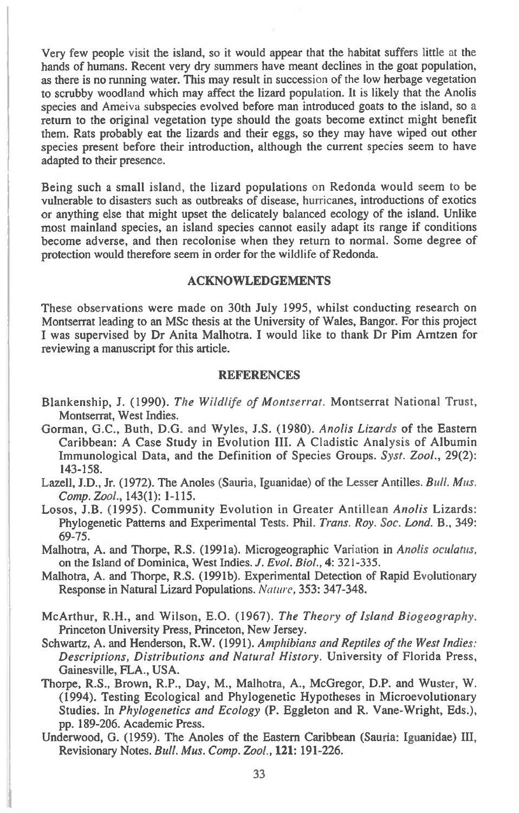Very few people visit the island, so it would appear that the habitat suffers little at the hands of humans. Recent very dry summers have meant declines in the goat population, as there is no running water. This may result in succession of the low herbage vegetation to scrubby woodland which may affect the lizard population. It is likely that the Anolis species and Ameiva subspecies evolved before man introduced goats to the island, so a return to the original vegetation type should the goats become extinct might benefit them. Rats probably eat the lizards and their eggs, so they may have wiped out other species present before their introduction, although the current species seem to have adapted to their presence.

Being such a small island, the lizard populations on Redonda would seem to be vulnerable to disasters such as outbreaks of disease, hurricanes, introductions of exotics or anything else that might upset the delicately balanced ecology of the island. Unlike most mainland species, an island species cannot easily adapt its range if conditions become adverse, and then recolonise when they return to normal. Some degree of protection would therefore seem in order for the wildlife of Redonda.

## **ACKNOWLEDGEMENTS**

These observations were made on 30th July 1995, whilst conducting research on Montserrat leading to an MSc thesis at the University of Wales, Bangor. For this project I was supervised by Dr Anita Malhotra. I would like to thank Dr Pim Arntzen for reviewing a manuscript for this article.

#### **REFERENCES**

- Blankenship, J. (1990). *The Wildlife of Montserrat.* Montserrat National Trust, Montserrat, West Indies.
- Gorman, G.C., Buth, D.G. and Wyles, J.S. (1980). *Anolis Lizards* of the Eastern Caribbean: A Case Study in Evolution **III.** A Cladistic Analysis of Albumin Immunological Data, and the Definition of Species Groups. *Syst. Zool.,* 29(2): 143-158.
- Lazell, J.D., Jr. (1972). The Anoles (Sauria, Iguanidae) of the Lesser Antilles. *Bull. Mus. Comp. Zool.,* 143(1): 1-115.
- Losos, **J.B.** (1995). Community Evolution in Greater Antillean *Anolis* Lizards: Phylogenetic Patterns and Experimental Tests. Phil. *Trans. Roy. Soc. Lond.* **B.,** 349: 69-75.
- Malhotra, A. and Thorpe, R.S. (1991a). Microgeographic Variation in *Anolis oculatus,*  on the Island of Dominica, West Indies. *J. Evol. Biol.,* **4:** 321-335.
- Malhotra, A. and Thorpe, R.S. (1991b). Experimental Detection of Rapid Evolutionary Response in Natural Lizard Populations. *Nature,* 353: 347-348.
- McArthur, R.H., and Wilson, E.O. (1967). *The Theory of Island Biogeography.*  Princeton University Press, Princeton, New Jersey.
- Schwartz, A. and Henderson, R.W. (1991). *Amphibians and Reptiles of the West Indies: Descriptions, Distributions and Natural History.* University of Florida Press, Gainesville, FLA., USA.
- Thorpe, R.S., Brown, R.P., Day, M., Malhotra, A., McGregor, **D.P.** and Wuster, W. (1994). Testing Ecological and Phylogenetic Hypotheses in Microevolutionary Studies. In *Phylogenetics and Ecology* **(P.** Eggleton and R. Vane-Wright, Eds.), pp. 189-206. Academic Press.
- Underwood, G. (1959). The Anoles of the Eastern Caribbean (Sauria: Iguanidae) III, Revisionary Notes. *Bull. Mus. Comp. Zool.,* **121:** 191-226.